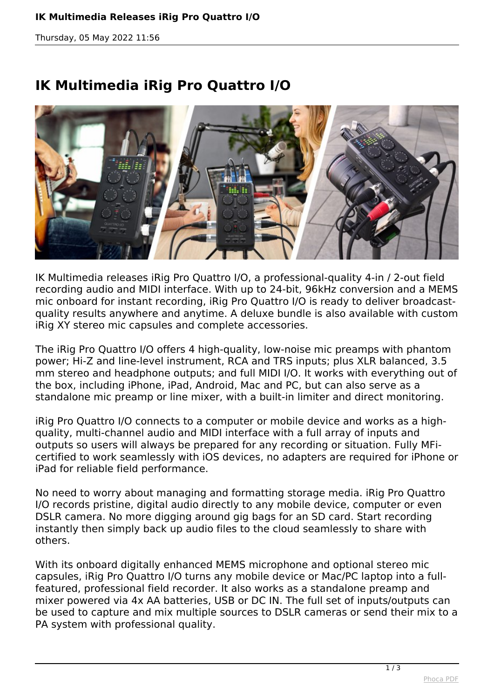*Thursday, 05 May 2022 11:56*

## **IK Multimedia iRig Pro Quattro I/O**



*IK Multimedia releases iRig Pro Quattro I/O, a professional-quality 4-in / 2-out field recording audio and MIDI interface. With up to 24-bit, 96kHz conversion and a MEMS mic onboard for instant recording, iRig Pro Quattro I/O is ready to deliver broadcastquality results anywhere and anytime. A deluxe bundle is also available with custom iRig XY stereo mic capsules and complete accessories.*

*The iRig Pro Quattro I/O offers 4 high-quality, low-noise mic preamps with phantom power; Hi-Z and line-level instrument, RCA and TRS inputs; plus XLR balanced, 3.5 mm stereo and headphone outputs; and full MIDI I/O. It works with everything out of the box, including iPhone, iPad, Android, Mac and PC, but can also serve as a standalone mic preamp or line mixer, with a built-in limiter and direct monitoring.*

*iRig Pro Quattro I/O connects to a computer or mobile device and works as a highquality, multi-channel audio and MIDI interface with a full array of inputs and outputs so users will always be prepared for any recording or situation. Fully MFicertified to work seamlessly with iOS devices, no adapters are required for iPhone or iPad for reliable field performance.*

*No need to worry about managing and formatting storage media. iRig Pro Quattro I/O records pristine, digital audio directly to any mobile device, computer or even DSLR camera. No more digging around gig bags for an SD card. Start recording instantly then simply back up audio files to the cloud seamlessly to share with others.*

*With its onboard digitally enhanced MEMS microphone and optional stereo mic capsules, iRig Pro Quattro I/O turns any mobile device or Mac/PC laptop into a fullfeatured, professional field recorder. It also works as a standalone preamp and mixer powered via 4x AA batteries, USB or DC IN. The full set of inputs/outputs can be used to capture and mix multiple sources to DSLR cameras or send their mix to a PA system with professional quality.*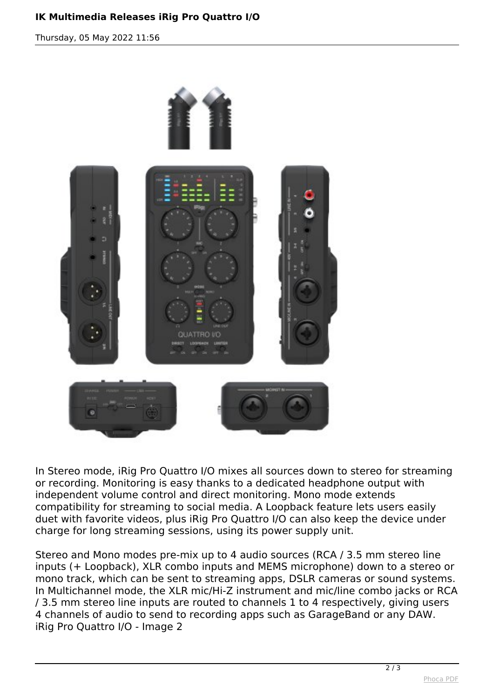## **IK Multimedia Releases iRig Pro Quattro I/O**

*Thursday, 05 May 2022 11:56*



*In Stereo mode, iRig Pro Quattro I/O mixes all sources down to stereo for streaming or recording. Monitoring is easy thanks to a dedicated headphone output with independent volume control and direct monitoring. Mono mode extends compatibility for streaming to social media. A Loopback feature lets users easily duet with favorite videos, plus iRig Pro Quattro I/O can also keep the device under charge for long streaming sessions, using its power supply unit.*

*Stereo and Mono modes pre-mix up to 4 audio sources (RCA / 3.5 mm stereo line inputs (+ Loopback), XLR combo inputs and MEMS microphone) down to a stereo or mono track, which can be sent to streaming apps, DSLR cameras or sound systems. In Multichannel mode, the XLR mic/Hi-Z instrument and mic/line combo jacks or RCA / 3.5 mm stereo line inputs are routed to channels 1 to 4 respectively, giving users 4 channels of audio to send to recording apps such as GarageBand or any DAW. iRig Pro Quattro I/O - Image 2*